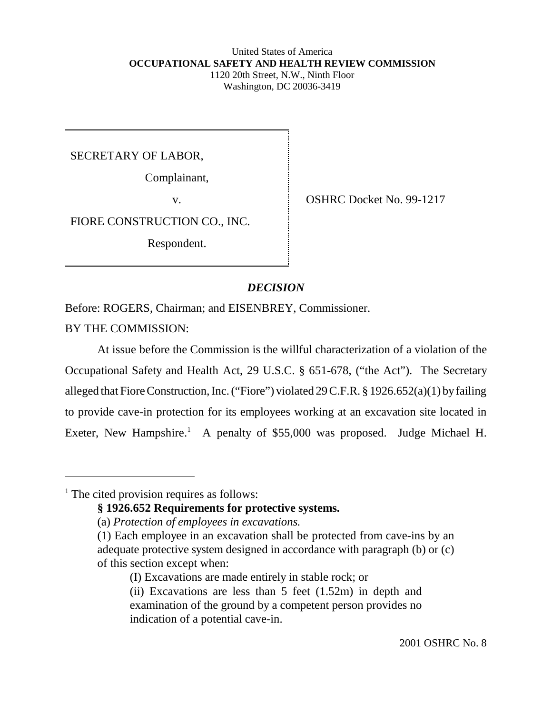#### United States of America  **OCCUPATIONAL SAFETY AND HEALTH REVIEW COMMISSION** 1120 20th Street, N.W., Ninth Floor Washington, DC 20036-3419

SECRETARY OF LABOR,

Complainant,

v. SHRC Docket No. 99-1217

FIORE CONSTRUCTION CO., INC.

Respondent.

## *DECISION*

Before: ROGERS, Chairman; and EISENBREY, Commissioner.

BY THE COMMISSION:

At issue before the Commission is the willful characterization of a violation of the Occupational Safety and Health Act, 29 U.S.C. § 651-678, ("the Act"). The Secretary alleged that Fiore Construction, Inc. ("Fiore") violated 29 C.F.R. § 1926.652(a)(1) by failing to provide cave-in protection for its employees working at an excavation site located in Exeter, New Hampshire.<sup>1</sup> A penalty of \$55,000 was proposed. Judge Michael H.

<sup>&</sup>lt;sup>1</sup> The cited provision requires as follows:

**<sup>§ 1926.652</sup> Requirements for protective systems.**

<sup>(</sup>a) *Protection of employees in excavations.*

<sup>(1)</sup> Each employee in an excavation shall be protected from cave-ins by an adequate protective system designed in accordance with paragraph (b) or (c) of this section except when:

<sup>(</sup>I) Excavations are made entirely in stable rock; or

<sup>(</sup>ii) Excavations are less than  $5$  feet  $(1.52m)$  in depth and examination of the ground by a competent person provides no indication of a potential cave-in.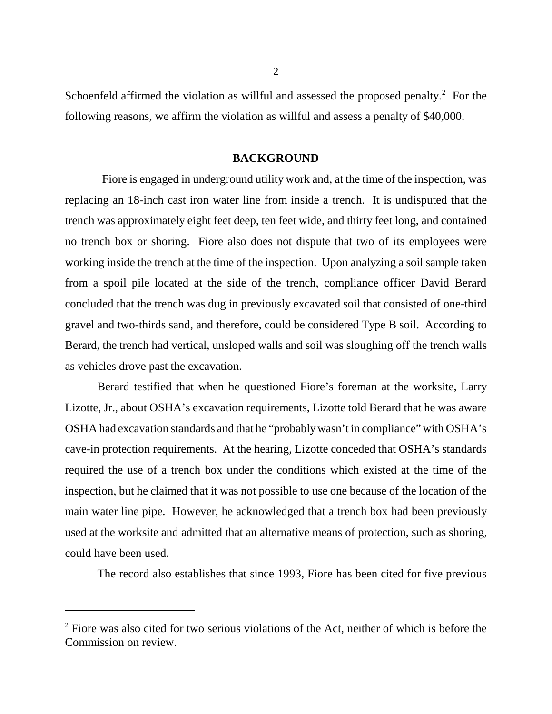Schoenfeld affirmed the violation as willful and assessed the proposed penalty. $2$  For the following reasons, we affirm the violation as willful and assess a penalty of \$40,000.

#### **BACKGROUND**

 Fiore is engaged in underground utility work and, at the time of the inspection, was replacing an 18-inch cast iron water line from inside a trench. It is undisputed that the trench was approximately eight feet deep, ten feet wide, and thirty feet long, and contained no trench box or shoring. Fiore also does not dispute that two of its employees were working inside the trench at the time of the inspection. Upon analyzing a soil sample taken from a spoil pile located at the side of the trench, compliance officer David Berard concluded that the trench was dug in previously excavated soil that consisted of one-third gravel and two-thirds sand, and therefore, could be considered Type B soil. According to Berard, the trench had vertical, unsloped walls and soil was sloughing off the trench walls as vehicles drove past the excavation.

Berard testified that when he questioned Fiore's foreman at the worksite, Larry Lizotte, Jr., about OSHA's excavation requirements, Lizotte told Berard that he was aware OSHA had excavation standards and that he "probably wasn't in compliance" with OSHA's cave-in protection requirements. At the hearing, Lizotte conceded that OSHA's standards required the use of a trench box under the conditions which existed at the time of the inspection, but he claimed that it was not possible to use one because of the location of the main water line pipe. However, he acknowledged that a trench box had been previously used at the worksite and admitted that an alternative means of protection, such as shoring, could have been used.

The record also establishes that since 1993, Fiore has been cited for five previous

 $2^2$  Fiore was also cited for two serious violations of the Act, neither of which is before the Commission on review.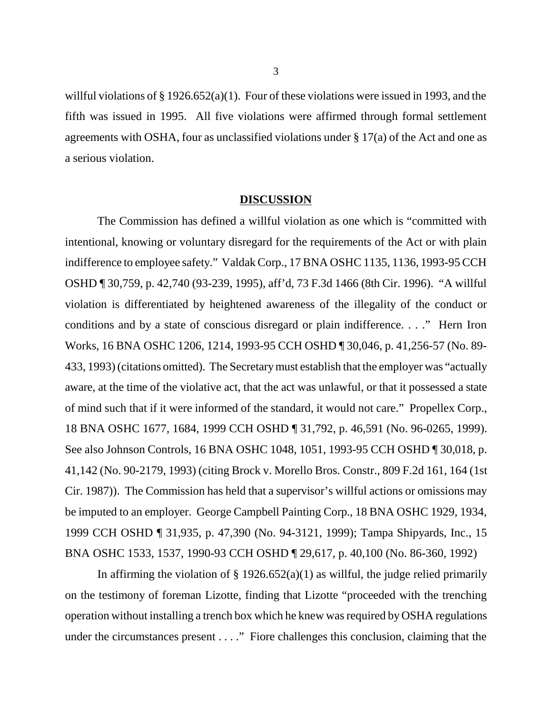willful violations of § 1926.652(a)(1). Four of these violations were issued in 1993, and the fifth was issued in 1995. All five violations were affirmed through formal settlement agreements with OSHA, four as unclassified violations under  $\S 17(a)$  of the Act and one as a serious violation.

#### **DISCUSSION**

The Commission has defined a willful violation as one which is "committed with intentional, knowing or voluntary disregard for the requirements of the Act or with plain indifference to employee safety." Valdak Corp., 17 BNA OSHC 1135, 1136, 1993-95 CCH OSHD ¶ 30,759, p. 42,740 (93-239, 1995), aff'd, 73 F.3d 1466 (8th Cir. 1996). "A willful violation is differentiated by heightened awareness of the illegality of the conduct or conditions and by a state of conscious disregard or plain indifference. . . ." Hern Iron Works, 16 BNA OSHC 1206, 1214, 1993-95 CCH OSHD ¶ 30,046, p. 41,256-57 (No. 89- 433, 1993) (citations omitted). The Secretary must establish that the employer was "actually aware, at the time of the violative act, that the act was unlawful, or that it possessed a state of mind such that if it were informed of the standard, it would not care." Propellex Corp., 18 BNA OSHC 1677, 1684, 1999 CCH OSHD ¶ 31,792, p. 46,591 (No. 96-0265, 1999). See also Johnson Controls, 16 BNA OSHC 1048, 1051, 1993-95 CCH OSHD ¶ 30,018, p. 41,142 (No. 90-2179, 1993) (citing Brock v. Morello Bros. Constr., 809 F.2d 161, 164 (1st Cir. 1987)). The Commission has held that a supervisor's willful actions or omissions may be imputed to an employer. George Campbell Painting Corp., 18 BNA OSHC 1929, 1934, 1999 CCH OSHD ¶ 31,935, p. 47,390 (No. 94-3121, 1999); Tampa Shipyards, Inc., 15 BNA OSHC 1533, 1537, 1990-93 CCH OSHD ¶ 29,617, p. 40,100 (No. 86-360, 1992)

In affirming the violation of  $\S$  1926.652(a)(1) as willful, the judge relied primarily on the testimony of foreman Lizotte, finding that Lizotte "proceeded with the trenching operation without installing a trench box which he knew was required by OSHA regulations under the circumstances present . . . ." Fiore challenges this conclusion, claiming that the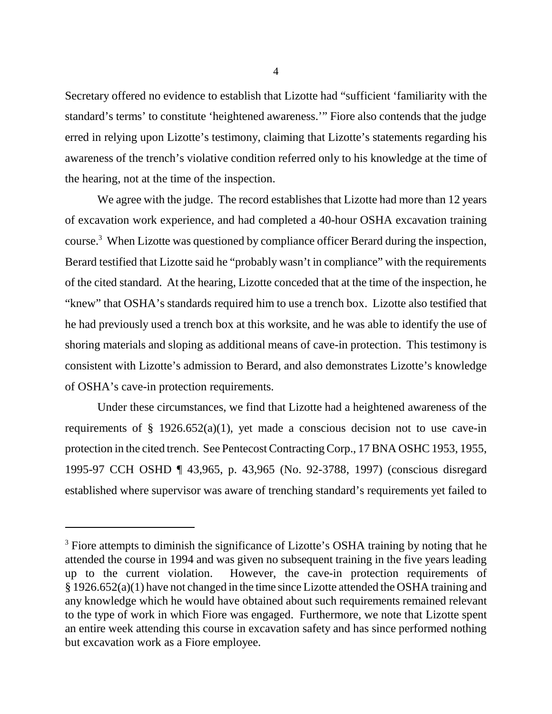Secretary offered no evidence to establish that Lizotte had "sufficient 'familiarity with the standard's terms' to constitute 'heightened awareness.'" Fiore also contends that the judge erred in relying upon Lizotte's testimony, claiming that Lizotte's statements regarding his awareness of the trench's violative condition referred only to his knowledge at the time of the hearing, not at the time of the inspection.

We agree with the judge. The record establishes that Lizotte had more than 12 years of excavation work experience, and had completed a 40-hour OSHA excavation training course.3 When Lizotte was questioned by compliance officer Berard during the inspection, Berard testified that Lizotte said he "probably wasn't in compliance" with the requirements of the cited standard. At the hearing, Lizotte conceded that at the time of the inspection, he "knew" that OSHA's standards required him to use a trench box. Lizotte also testified that he had previously used a trench box at this worksite, and he was able to identify the use of shoring materials and sloping as additional means of cave-in protection. This testimony is consistent with Lizotte's admission to Berard, and also demonstrates Lizotte's knowledge of OSHA's cave-in protection requirements.

Under these circumstances, we find that Lizotte had a heightened awareness of the requirements of  $\S$  1926.652(a)(1), yet made a conscious decision not to use cave-in protection in the cited trench. See Pentecost Contracting Corp., 17 BNA OSHC 1953, 1955, 1995-97 CCH OSHD ¶ 43,965, p. 43,965 (No. 92-3788, 1997) (conscious disregard established where supervisor was aware of trenching standard's requirements yet failed to

<sup>&</sup>lt;sup>3</sup> Fiore attempts to diminish the significance of Lizotte's OSHA training by noting that he attended the course in 1994 and was given no subsequent training in the five years leading up to the current violation. However, the cave-in protection requirements of § 1926.652(a)(1) have not changed in the time since Lizotte attended the OSHA training and any knowledge which he would have obtained about such requirements remained relevant to the type of work in which Fiore was engaged. Furthermore, we note that Lizotte spent an entire week attending this course in excavation safety and has since performed nothing but excavation work as a Fiore employee.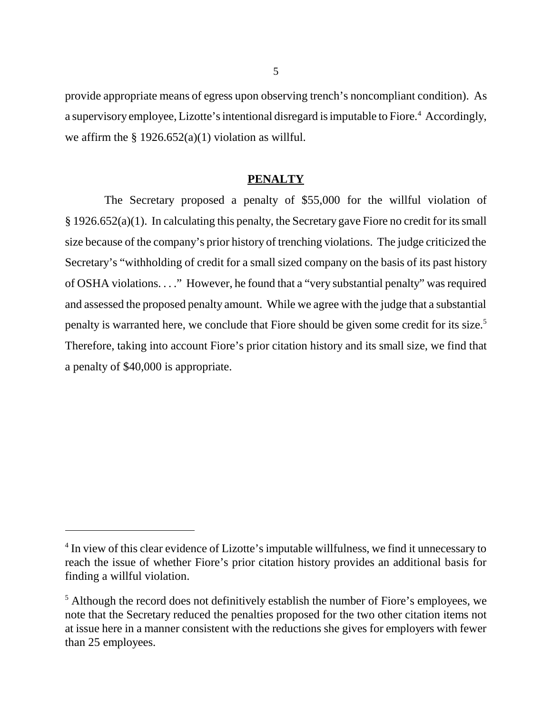provide appropriate means of egress upon observing trench's noncompliant condition). As a supervisory employee, Lizotte's intentional disregard is imputable to Fiore.<sup>4</sup> Accordingly, we affirm the  $\S 1926.652(a)(1)$  violation as willful.

## **PENALTY**

 The Secretary proposed a penalty of \$55,000 for the willful violation of § 1926.652(a)(1). In calculating this penalty, the Secretary gave Fiore no credit for its small size because of the company's prior history of trenching violations. The judge criticized the Secretary's "withholding of credit for a small sized company on the basis of its past history of OSHA violations. . . ." However, he found that a "very substantial penalty" was required and assessed the proposed penalty amount. While we agree with the judge that a substantial penalty is warranted here, we conclude that Fiore should be given some credit for its size.<sup>5</sup> Therefore, taking into account Fiore's prior citation history and its small size, we find that a penalty of \$40,000 is appropriate.

<sup>&</sup>lt;sup>4</sup> In view of this clear evidence of Lizotte's imputable willfulness, we find it unnecessary to reach the issue of whether Fiore's prior citation history provides an additional basis for finding a willful violation.

<sup>&</sup>lt;sup>5</sup> Although the record does not definitively establish the number of Fiore's employees, we note that the Secretary reduced the penalties proposed for the two other citation items not at issue here in a manner consistent with the reductions she gives for employers with fewer than 25 employees.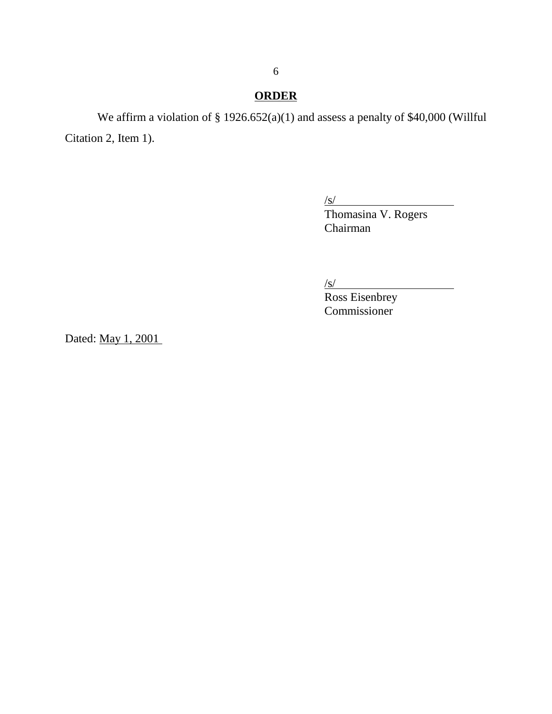# **ORDER**

We affirm a violation of § 1926.652(a)(1) and assess a penalty of \$40,000 (Willful Citation 2, Item 1).

 $\sqrt{s/}$ 

Thomasina V. Rogers Chairman

 $\sqrt{s}$ /

Ross Eisenbrey Commissioner

Dated: May 1, 2001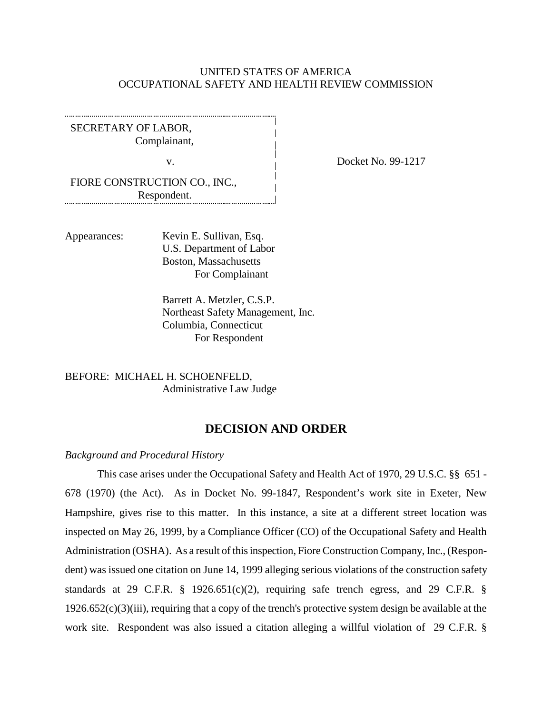## UNITED STATES OF AMERICA OCCUPATIONAL SAFETY AND HEALTH REVIEW COMMISSION

SECRETARY OF LABOR, Complainant,

FIORE CONSTRUCTION CO., INC., Respondent. 

Appearances: Kevin E. Sullivan, Esq. U.S. Department of Labor Boston, Massachusetts For Complainant

> Barrett A. Metzler, C.S.P. Northeast Safety Management, Inc. Columbia, Connecticut For Respondent

BEFORE: MICHAEL H. SCHOENFELD, Administrative Law Judge

## **DECISION AND ORDER**

#### *Background and Procedural History*

This case arises under the Occupational Safety and Health Act of 1970, 29 U.S.C. §§ 651 - 678 (1970) (the Act). As in Docket No. 99-1847, Respondent's work site in Exeter, New Hampshire, gives rise to this matter. In this instance, a site at a different street location was inspected on May 26, 1999, by a Compliance Officer (CO) of the Occupational Safety and Health Administration (OSHA). As a result of this inspection, Fiore Construction Company, Inc., (Respondent) was issued one citation on June 14, 1999 alleging serious violations of the construction safety standards at 29 C.F.R.  $\S$  1926.651(c)(2), requiring safe trench egress, and 29 C.F.R.  $\S$ 1926.652(c)(3)(iii), requiring that a copy of the trench's protective system design be available at the work site. Respondent was also issued a citation alleging a willful violation of 29 C.F.R. §

v. Docket No. 99-1217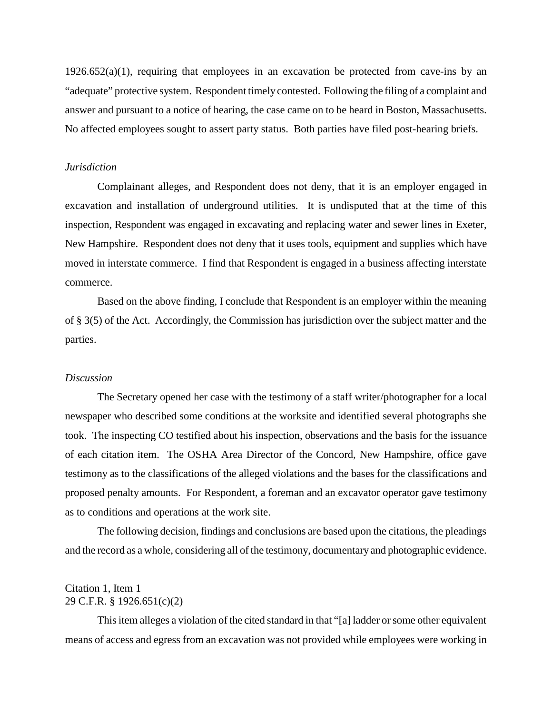$1926.652(a)(1)$ , requiring that employees in an excavation be protected from cave-ins by an "adequate" protective system. Respondent timely contested. Following the filing of a complaint and answer and pursuant to a notice of hearing, the case came on to be heard in Boston, Massachusetts. No affected employees sought to assert party status. Both parties have filed post-hearing briefs.

#### *Jurisdiction*

Complainant alleges, and Respondent does not deny, that it is an employer engaged in excavation and installation of underground utilities. It is undisputed that at the time of this inspection, Respondent was engaged in excavating and replacing water and sewer lines in Exeter, New Hampshire. Respondent does not deny that it uses tools, equipment and supplies which have moved in interstate commerce. I find that Respondent is engaged in a business affecting interstate commerce.

Based on the above finding, I conclude that Respondent is an employer within the meaning of § 3(5) of the Act. Accordingly, the Commission has jurisdiction over the subject matter and the parties.

#### *Discussion*

The Secretary opened her case with the testimony of a staff writer/photographer for a local newspaper who described some conditions at the worksite and identified several photographs she took. The inspecting CO testified about his inspection, observations and the basis for the issuance of each citation item. The OSHA Area Director of the Concord, New Hampshire, office gave testimony as to the classifications of the alleged violations and the bases for the classifications and proposed penalty amounts. For Respondent, a foreman and an excavator operator gave testimony as to conditions and operations at the work site.

The following decision, findings and conclusions are based upon the citations, the pleadings and the record as a whole, considering all of the testimony, documentary and photographic evidence.

## Citation 1, Item 1 29 C.F.R. § 1926.651(c)(2)

This item alleges a violation of the cited standard in that "[a] ladder or some other equivalent means of access and egress from an excavation was not provided while employees were working in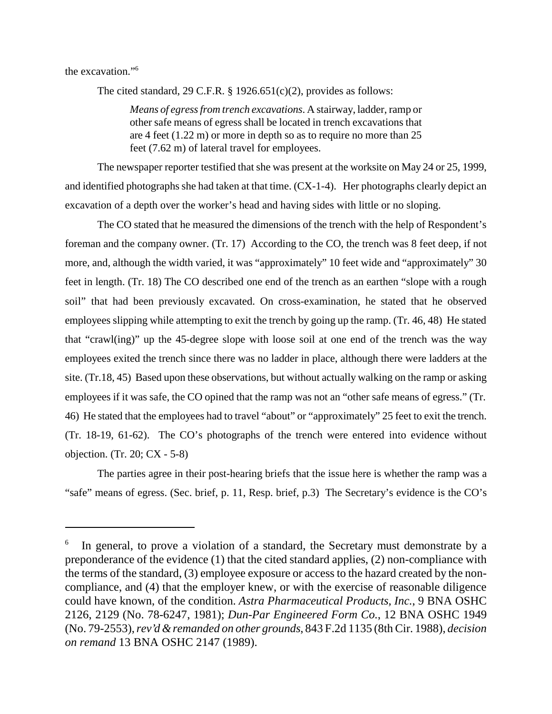the excavation."6

The cited standard, 29 C.F.R.  $\S$  1926.651(c)(2), provides as follows:

*Means of egress from trench excavations*. A stairway, ladder, ramp or other safe means of egress shall be located in trench excavations that are 4 feet (1.22 m) or more in depth so as to require no more than 25 feet (7.62 m) of lateral travel for employees.

The newspaper reporter testified that she was present at the worksite on May 24 or 25, 1999, and identified photographs she had taken at that time. (CX-1-4). Her photographs clearly depict an excavation of a depth over the worker's head and having sides with little or no sloping.

The CO stated that he measured the dimensions of the trench with the help of Respondent's foreman and the company owner. (Tr. 17) According to the CO, the trench was 8 feet deep, if not more, and, although the width varied, it was "approximately" 10 feet wide and "approximately" 30 feet in length. (Tr. 18) The CO described one end of the trench as an earthen "slope with a rough soil" that had been previously excavated. On cross-examination, he stated that he observed employees slipping while attempting to exit the trench by going up the ramp. (Tr. 46, 48) He stated that "crawl(ing)" up the 45-degree slope with loose soil at one end of the trench was the way employees exited the trench since there was no ladder in place, although there were ladders at the site. (Tr.18, 45) Based upon these observations, but without actually walking on the ramp or asking employees if it was safe, the CO opined that the ramp was not an "other safe means of egress." (Tr. 46) He stated that the employees had to travel "about" or "approximately" 25 feet to exit the trench. (Tr. 18-19, 61-62). The CO's photographs of the trench were entered into evidence without objection. (Tr. 20; CX - 5-8)

The parties agree in their post-hearing briefs that the issue here is whether the ramp was a "safe" means of egress. (Sec. brief, p. 11, Resp. brief, p.3) The Secretary's evidence is the CO's

<sup>6</sup> In general, to prove a violation of a standard, the Secretary must demonstrate by a preponderance of the evidence (1) that the cited standard applies, (2) non-compliance with the terms of the standard, (3) employee exposure or access to the hazard created by the noncompliance, and (4) that the employer knew, or with the exercise of reasonable diligence could have known, of the condition. *Astra Pharmaceutical Products, Inc.*, 9 BNA OSHC 2126, 2129 (No. 78-6247, 1981); *Dun-Par Engineered Form Co.*, 12 BNA OSHC 1949 (No. 79-2553), *rev'd & remanded on other grounds*, 843 F.2d 1135 (8th Cir. 1988), *decision on remand* 13 BNA OSHC 2147 (1989).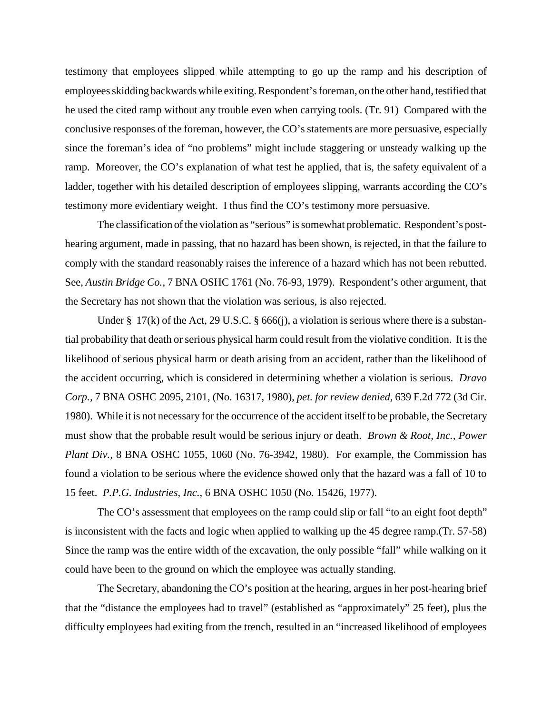testimony that employees slipped while attempting to go up the ramp and his description of employees skidding backwards while exiting. Respondent's foreman, on the other hand, testified that he used the cited ramp without any trouble even when carrying tools. (Tr. 91) Compared with the conclusive responses of the foreman, however, the CO's statements are more persuasive, especially since the foreman's idea of "no problems" might include staggering or unsteady walking up the ramp. Moreover, the CO's explanation of what test he applied, that is, the safety equivalent of a ladder, together with his detailed description of employees slipping, warrants according the CO's testimony more evidentiary weight. I thus find the CO's testimony more persuasive.

The classification of the violation as "serious" is somewhat problematic. Respondent's posthearing argument, made in passing, that no hazard has been shown, is rejected, in that the failure to comply with the standard reasonably raises the inference of a hazard which has not been rebutted. See, *Austin Bridge Co.*, 7 BNA OSHC 1761 (No. 76-93, 1979). Respondent's other argument, that the Secretary has not shown that the violation was serious, is also rejected.

Under § 17(k) of the Act, 29 U.S.C. § 666(j), a violation is serious where there is a substantial probability that death or serious physical harm could result from the violative condition. It is the likelihood of serious physical harm or death arising from an accident, rather than the likelihood of the accident occurring, which is considered in determining whether a violation is serious. *Dravo Corp.,* 7 BNA OSHC 2095, 2101, (No. 16317, 1980), *pet. for review denied,* 639 F.2d 772 (3d Cir. 1980). While it is not necessary for the occurrence of the accident itself to be probable, the Secretary must show that the probable result would be serious injury or death. *Brown & Root, Inc., Power Plant Div.,* 8 BNA OSHC 1055, 1060 (No. 76-3942, 1980). For example, the Commission has found a violation to be serious where the evidence showed only that the hazard was a fall of 10 to 15 feet. *P.P.G. Industries, Inc.,* 6 BNA OSHC 1050 (No. 15426, 1977).

The CO's assessment that employees on the ramp could slip or fall "to an eight foot depth" is inconsistent with the facts and logic when applied to walking up the 45 degree ramp.(Tr. 57-58) Since the ramp was the entire width of the excavation, the only possible "fall" while walking on it could have been to the ground on which the employee was actually standing.

The Secretary, abandoning the CO's position at the hearing, argues in her post-hearing brief that the "distance the employees had to travel" (established as "approximately" 25 feet), plus the difficulty employees had exiting from the trench, resulted in an "increased likelihood of employees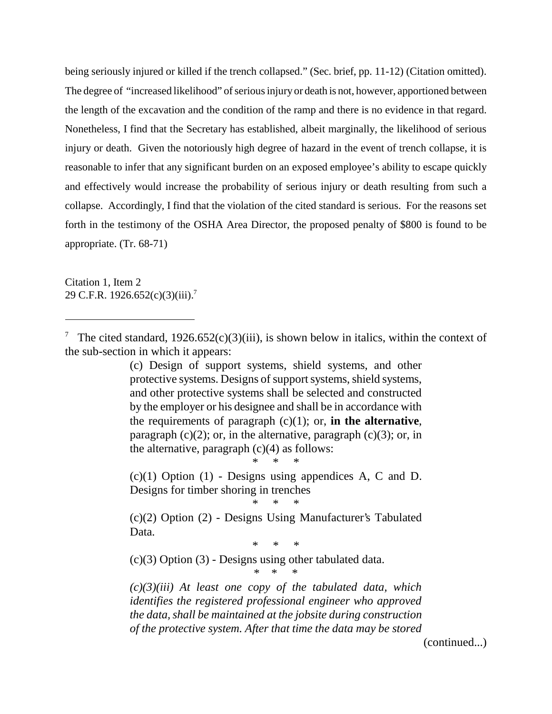being seriously injured or killed if the trench collapsed." (Sec. brief, pp. 11-12) (Citation omitted). The degree of "increased likelihood" of serious injury or death is not, however, apportioned between the length of the excavation and the condition of the ramp and there is no evidence in that regard. Nonetheless, I find that the Secretary has established, albeit marginally, the likelihood of serious injury or death. Given the notoriously high degree of hazard in the event of trench collapse, it is reasonable to infer that any significant burden on an exposed employee's ability to escape quickly and effectively would increase the probability of serious injury or death resulting from such a collapse. Accordingly, I find that the violation of the cited standard is serious. For the reasons set forth in the testimony of the OSHA Area Director, the proposed penalty of \$800 is found to be appropriate. (Tr. 68-71)

Citation 1, Item 2 29 C.F.R. 1926.652(c)(3)(iii).<sup>7</sup>

(c) Design of support systems, shield systems, and other protective systems. Designs of support systems, shield systems, and other protective systems shall be selected and constructed by the employer or his designee and shall be in accordance with the requirements of paragraph (c)(1); or, **in the alternative**, paragraph  $(c)(2)$ ; or, in the alternative, paragraph  $(c)(3)$ ; or, in the alternative, paragraph  $(c)(4)$  as follows:

 $(c)(1)$  Option  $(1)$  - Designs using appendices A, C and D. Designs for timber shoring in trenches

\* \* \*

\* \* \*

(c)(2) Option (2) - Designs Using Manufacturer's Tabulated Data.

\* \* \*

\* \* \*

(c)(3) Option (3) - Designs using other tabulated data.

*(c)(3)(iii) At least one copy of the tabulated data, which identifies the registered professional engineer who approved the data, shall be maintained at the jobsite during construction of the protective system. After that time the data may be stored*

(continued...)

<sup>7</sup> The cited standard,  $1926.652(c)(3)(iii)$ , is shown below in italics, within the context of the sub-section in which it appears: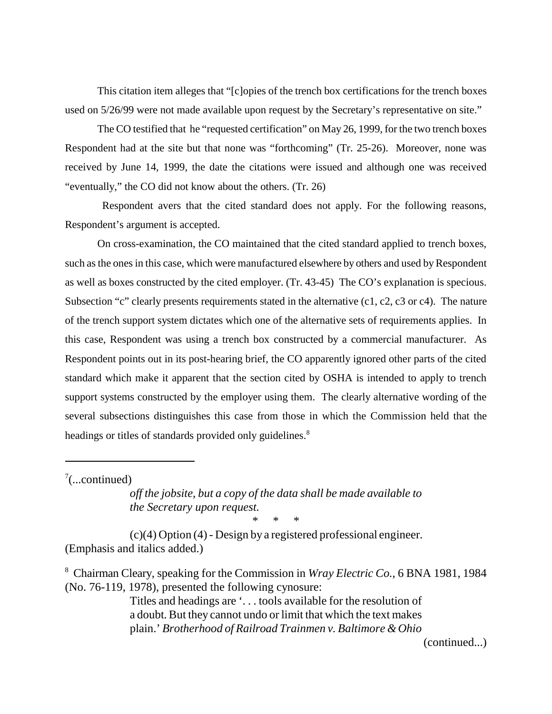This citation item alleges that "[c]opies of the trench box certifications for the trench boxes used on 5/26/99 were not made available upon request by the Secretary's representative on site."

The CO testified that he "requested certification" on May 26, 1999, for the two trench boxes Respondent had at the site but that none was "forthcoming" (Tr. 25-26). Moreover, none was received by June 14, 1999, the date the citations were issued and although one was received "eventually," the CO did not know about the others. (Tr. 26)

 Respondent avers that the cited standard does not apply. For the following reasons, Respondent's argument is accepted.

On cross-examination, the CO maintained that the cited standard applied to trench boxes, such as the ones in this case, which were manufactured elsewhere by others and used by Respondent as well as boxes constructed by the cited employer. (Tr. 43-45) The CO's explanation is specious. Subsection "c" clearly presents requirements stated in the alternative (c1, c2, c3 or c4). The nature of the trench support system dictates which one of the alternative sets of requirements applies. In this case, Respondent was using a trench box constructed by a commercial manufacturer. As Respondent points out in its post-hearing brief, the CO apparently ignored other parts of the cited standard which make it apparent that the section cited by OSHA is intended to apply to trench support systems constructed by the employer using them. The clearly alternative wording of the several subsections distinguishes this case from those in which the Commission held that the headings or titles of standards provided only guidelines.<sup>8</sup>

 $7$ (...continued)

*off the jobsite, but a copy of the data shall be made available to the Secretary upon request.* \* \* \*

(c)(4) Option (4) - Design by a registered professional engineer. (Emphasis and italics added.)

8 Chairman Cleary, speaking for the Commission in *Wray Electric Co.*, 6 BNA 1981, 1984 (No. 76-119, 1978), presented the following cynosure:

> Titles and headings are '. . . tools available for the resolution of a doubt. But they cannot undo or limit that which the text makes plain.' *Brotherhood of Railroad Trainmen v. Baltimore & Ohio*

> > (continued...)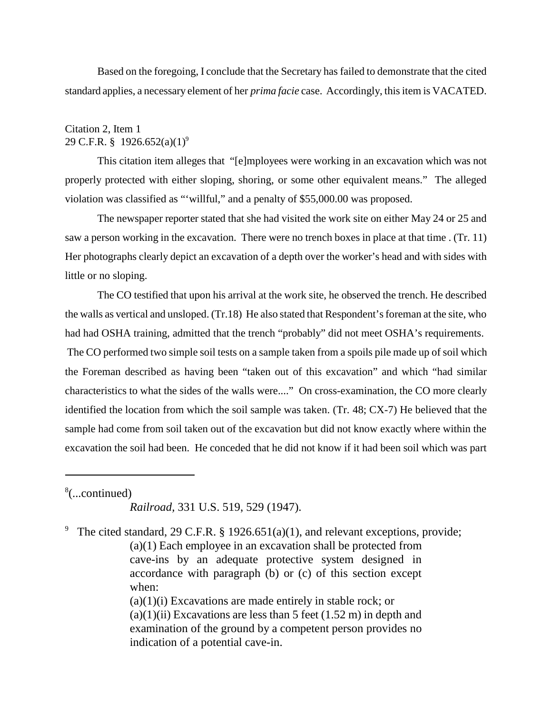Based on the foregoing, I conclude that the Secretary has failed to demonstrate that the cited standard applies, a necessary element of her *prima facie* case. Accordingly, this item is VACATED.

## Citation 2, Item 1 29 C.F.R. § 1926.652(a)(1)<sup>9</sup>

This citation item alleges that "[e]mployees were working in an excavation which was not properly protected with either sloping, shoring, or some other equivalent means." The alleged violation was classified as "'willful," and a penalty of \$55,000.00 was proposed.

The newspaper reporter stated that she had visited the work site on either May 24 or 25 and saw a person working in the excavation. There were no trench boxes in place at that time . (Tr. 11) Her photographs clearly depict an excavation of a depth over the worker's head and with sides with little or no sloping.

The CO testified that upon his arrival at the work site, he observed the trench. He described the walls as vertical and unsloped. (Tr.18) He also stated that Respondent's foreman at the site, who had had OSHA training, admitted that the trench "probably" did not meet OSHA's requirements. The CO performed two simple soil tests on a sample taken from a spoils pile made up of soil which the Foreman described as having been "taken out of this excavation" and which "had similar characteristics to what the sides of the walls were...." On cross-examination, the CO more clearly identified the location from which the soil sample was taken. (Tr. 48; CX-7) He believed that the sample had come from soil taken out of the excavation but did not know exactly where within the excavation the soil had been. He conceded that he did not know if it had been soil which was part

8 (...continued)

*Railroad,* 331 U.S. 519, 529 (1947).

<sup>9</sup> The cited standard, 29 C.F.R. § 1926.651(a)(1), and relevant exceptions, provide; (a)(1) Each employee in an excavation shall be protected from cave-ins by an adequate protective system designed in accordance with paragraph (b) or (c) of this section except when:  $(a)(1)(i)$  Excavations are made entirely in stable rock; or  $(a)(1)(ii)$  Excavations are less than 5 feet  $(1.52 \text{ m})$  in depth and examination of the ground by a competent person provides no indication of a potential cave-in.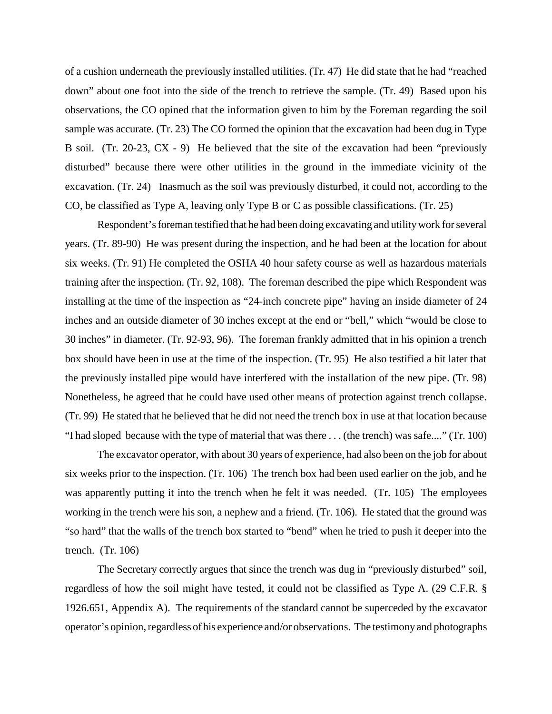of a cushion underneath the previously installed utilities. (Tr. 47) He did state that he had "reached down" about one foot into the side of the trench to retrieve the sample. (Tr. 49) Based upon his observations, the CO opined that the information given to him by the Foreman regarding the soil sample was accurate. (Tr. 23) The CO formed the opinion that the excavation had been dug in Type B soil. (Tr. 20-23, CX - 9) He believed that the site of the excavation had been "previously disturbed" because there were other utilities in the ground in the immediate vicinity of the excavation. (Tr. 24) Inasmuch as the soil was previously disturbed, it could not, according to the CO, be classified as Type A, leaving only Type B or C as possible classifications. (Tr. 25)

Respondent's foreman testified that he had been doing excavating and utility work for several years. (Tr. 89-90) He was present during the inspection, and he had been at the location for about six weeks. (Tr. 91) He completed the OSHA 40 hour safety course as well as hazardous materials training after the inspection. (Tr. 92, 108). The foreman described the pipe which Respondent was installing at the time of the inspection as "24-inch concrete pipe" having an inside diameter of 24 inches and an outside diameter of 30 inches except at the end or "bell," which "would be close to 30 inches" in diameter. (Tr. 92-93, 96). The foreman frankly admitted that in his opinion a trench box should have been in use at the time of the inspection. (Tr. 95) He also testified a bit later that the previously installed pipe would have interfered with the installation of the new pipe. (Tr. 98) Nonetheless, he agreed that he could have used other means of protection against trench collapse. (Tr. 99) He stated that he believed that he did not need the trench box in use at that location because "I had sloped because with the type of material that was there . . . (the trench) was safe...." (Tr. 100)

The excavator operator, with about 30 years of experience, had also been on the job for about six weeks prior to the inspection. (Tr. 106) The trench box had been used earlier on the job, and he was apparently putting it into the trench when he felt it was needed. (Tr. 105) The employees working in the trench were his son, a nephew and a friend. (Tr. 106). He stated that the ground was "so hard" that the walls of the trench box started to "bend" when he tried to push it deeper into the trench. (Tr. 106)

The Secretary correctly argues that since the trench was dug in "previously disturbed" soil, regardless of how the soil might have tested, it could not be classified as Type A. (29 C.F.R. § 1926.651, Appendix A). The requirements of the standard cannot be superceded by the excavator operator's opinion, regardless of his experience and/or observations. The testimony and photographs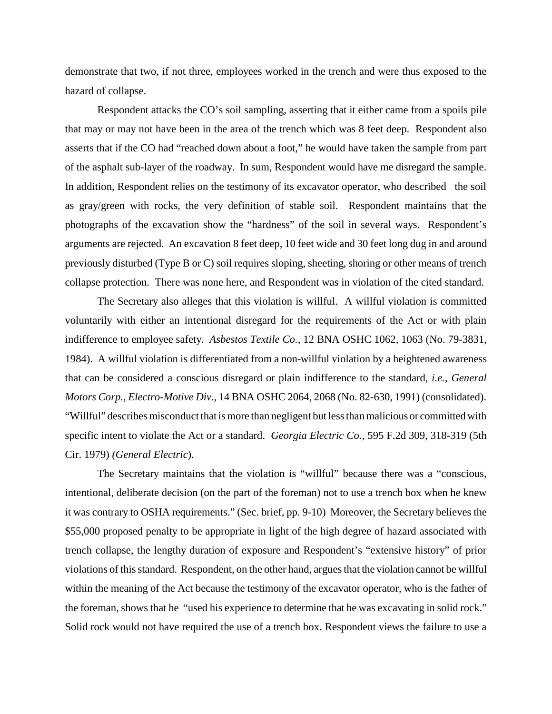demonstrate that two, if not three, employees worked in the trench and were thus exposed to the hazard of collapse.

Respondent attacks the CO's soil sampling, asserting that it either came from a spoils pile that may or may not have been in the area of the trench which was 8 feet deep. Respondent also asserts that if the CO had "reached down about a foot," he would have taken the sample from part of the asphalt sub-layer of the roadway. In sum, Respondent would have me disregard the sample. In addition, Respondent relies on the testimony of its excavator operator, who described the soil as gray/green with rocks, the very definition of stable soil. Respondent maintains that the photographs of the excavation show the "hardness" of the soil in several ways. Respondent's arguments are rejected. An excavation 8 feet deep, 10 feet wide and 30 feet long dug in and around previously disturbed (Type B or C) soil requires sloping, sheeting, shoring or other means of trench collapse protection. There was none here, and Respondent was in violation of the cited standard.

The Secretary also alleges that this violation is willful. A willful violation is committed voluntarily with either an intentional disregard for the requirements of the Act or with plain indifference to employee safety. *Asbestos Textile Co.*, 12 BNA OSHC 1062, 1063 (No. 79-3831, 1984). A willful violation is differentiated from a non-willful violation by a heightened awareness that can be considered a conscious disregard or plain indifference to the standard, *i.e.*, *General Motors Corp., Electro-Motive Div*., 14 BNA OSHC 2064, 2068 (No. 82-630, 1991) (consolidated). "Willful" describes misconduct that is more than negligent but less than malicious or committed with specific intent to violate the Act or a standard. *Georgia Electric Co.*, 595 F.2d 309, 318-319 (5th Cir. 1979) *(General Electric*).

The Secretary maintains that the violation is "willful" because there was a "conscious, intentional, deliberate decision (on the part of the foreman) not to use a trench box when he knew it was contrary to OSHA requirements." (Sec. brief, pp. 9-10) Moreover, the Secretary believes the \$55,000 proposed penalty to be appropriate in light of the high degree of hazard associated with trench collapse, the lengthy duration of exposure and Respondent's "extensive history" of prior violations of this standard. Respondent, on the other hand, argues that the violation cannot be willful within the meaning of the Act because the testimony of the excavator operator, who is the father of the foreman, shows that he "used his experience to determine that he was excavating in solid rock." Solid rock would not have required the use of a trench box. Respondent views the failure to use a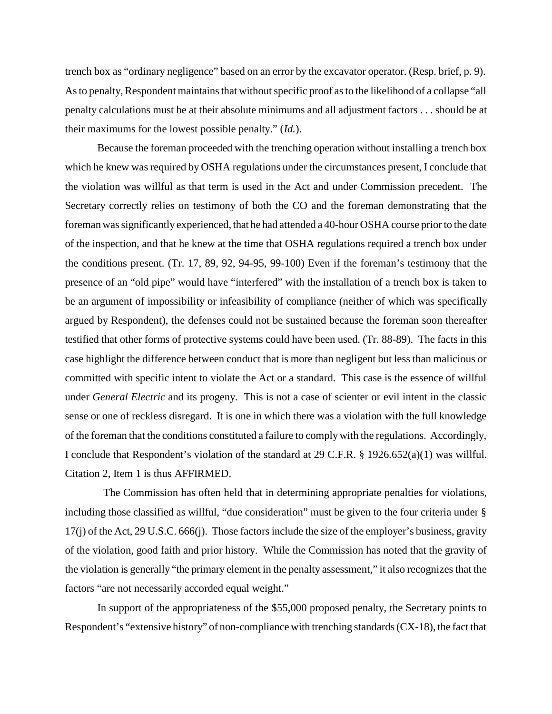trench box as "ordinary negligence" based on an error by the excavator operator. (Resp. brief, p. 9). As to penalty, Respondent maintains that without specific proof as to the likelihood of a collapse "all penalty calculations must be at their absolute minimums and all adjustment factors . . . should be at their maximums for the lowest possible penalty." (*Id.*).

Because the foreman proceeded with the trenching operation without installing a trench box which he knew was required by OSHA regulations under the circumstances present, I conclude that the violation was willful as that term is used in the Act and under Commission precedent. The Secretary correctly relies on testimony of both the CO and the foreman demonstrating that the foreman was significantly experienced, that he had attended a 40-hour OSHA course prior to the date of the inspection, and that he knew at the time that OSHA regulations required a trench box under the conditions present. (Tr. 17, 89, 92, 94-95, 99-100) Even if the foreman's testimony that the presence of an "old pipe" would have "interfered" with the installation of a trench box is taken to be an argument of impossibility or infeasibility of compliance (neither of which was specifically argued by Respondent), the defenses could not be sustained because the foreman soon thereafter testified that other forms of protective systems could have been used. (Tr. 88-89). The facts in this case highlight the difference between conduct that is more than negligent but less than malicious or committed with specific intent to violate the Act or a standard. This case is the essence of willful under *General Electric* and its progeny. This is not a case of scienter or evil intent in the classic sense or one of reckless disregard. It is one in which there was a violation with the full knowledge of the foreman that the conditions constituted a failure to comply with the regulations. Accordingly, I conclude that Respondent's violation of the standard at 29 C.F.R. § 1926.652(a)(1) was willful. Citation 2, Item 1 is thus AFFIRMED.

 The Commission has often held that in determining appropriate penalties for violations, including those classified as willful, "due consideration" must be given to the four criteria under § 17(j) of the Act, 29 U.S.C. 666(j). Those factors include the size of the employer's business, gravity of the violation, good faith and prior history. While the Commission has noted that the gravity of the violation is generally "the primary element in the penalty assessment," it also recognizes that the factors "are not necessarily accorded equal weight."

In support of the appropriateness of the \$55,000 proposed penalty, the Secretary points to Respondent's "extensive history" of non-compliance with trenching standards (CX-18), the fact that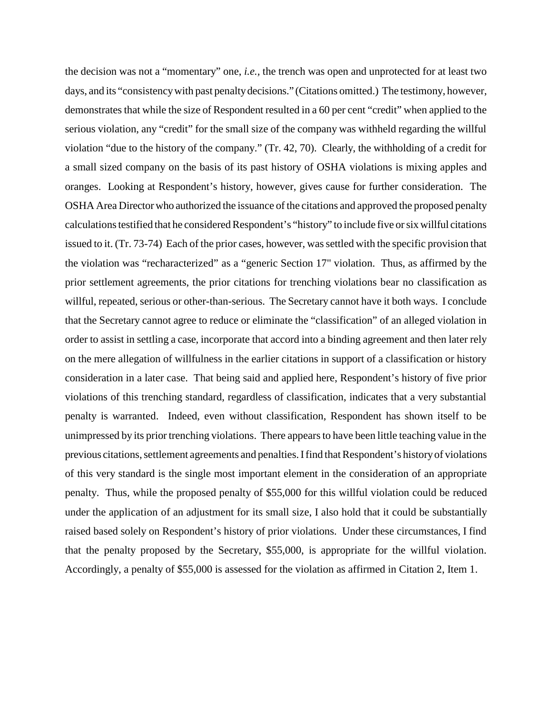the decision was not a "momentary" one, *i.e.,* the trench was open and unprotected for at least two days, and its "consistency with past penalty decisions." (Citations omitted.) The testimony, however, demonstrates that while the size of Respondent resulted in a 60 per cent "credit" when applied to the serious violation, any "credit" for the small size of the company was withheld regarding the willful violation "due to the history of the company." (Tr. 42, 70). Clearly, the withholding of a credit for a small sized company on the basis of its past history of OSHA violations is mixing apples and oranges. Looking at Respondent's history, however, gives cause for further consideration. The OSHA Area Director who authorized the issuance of the citations and approved the proposed penalty calculations testified that he considered Respondent's "history" to include five or six willful citations issued to it. (Tr. 73-74) Each of the prior cases, however, was settled with the specific provision that the violation was "recharacterized" as a "generic Section 17" violation. Thus, as affirmed by the prior settlement agreements, the prior citations for trenching violations bear no classification as willful, repeated, serious or other-than-serious. The Secretary cannot have it both ways. I conclude that the Secretary cannot agree to reduce or eliminate the "classification" of an alleged violation in order to assist in settling a case, incorporate that accord into a binding agreement and then later rely on the mere allegation of willfulness in the earlier citations in support of a classification or history consideration in a later case. That being said and applied here, Respondent's history of five prior violations of this trenching standard, regardless of classification, indicates that a very substantial penalty is warranted. Indeed, even without classification, Respondent has shown itself to be unimpressed by its prior trenching violations. There appears to have been little teaching value in the previous citations, settlement agreements and penalties. I find that Respondent's history of violations of this very standard is the single most important element in the consideration of an appropriate penalty. Thus, while the proposed penalty of \$55,000 for this willful violation could be reduced under the application of an adjustment for its small size, I also hold that it could be substantially raised based solely on Respondent's history of prior violations. Under these circumstances, I find that the penalty proposed by the Secretary, \$55,000, is appropriate for the willful violation. Accordingly, a penalty of \$55,000 is assessed for the violation as affirmed in Citation 2, Item 1.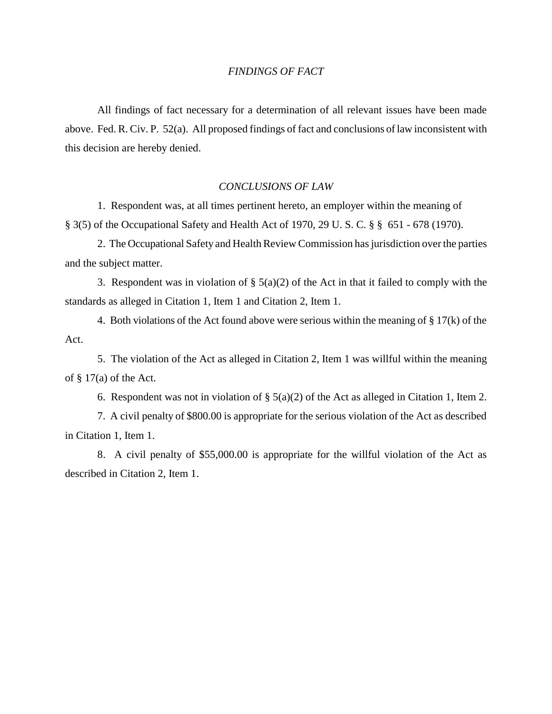#### *FINDINGS OF FACT*

All findings of fact necessary for a determination of all relevant issues have been made above. Fed. R. Civ. P. 52(a). All proposed findings of fact and conclusions of law inconsistent with this decision are hereby denied.

#### *CONCLUSIONS OF LAW*

1. Respondent was, at all times pertinent hereto, an employer within the meaning of § 3(5) of the Occupational Safety and Health Act of 1970, 29 U. S. C. § § 651 - 678 (1970).

2. The Occupational Safety and Health Review Commission has jurisdiction over the parties and the subject matter.

3. Respondent was in violation of  $\S$  5(a)(2) of the Act in that it failed to comply with the standards as alleged in Citation 1, Item 1 and Citation 2, Item 1.

4. Both violations of the Act found above were serious within the meaning of § 17(k) of the Act.

5. The violation of the Act as alleged in Citation 2, Item 1 was willful within the meaning of  $\S 17(a)$  of the Act.

6. Respondent was not in violation of  $\S$  5(a)(2) of the Act as alleged in Citation 1, Item 2.

7. A civil penalty of \$800.00 is appropriate for the serious violation of the Act as described in Citation 1, Item 1.

8. A civil penalty of \$55,000.00 is appropriate for the willful violation of the Act as described in Citation 2, Item 1.